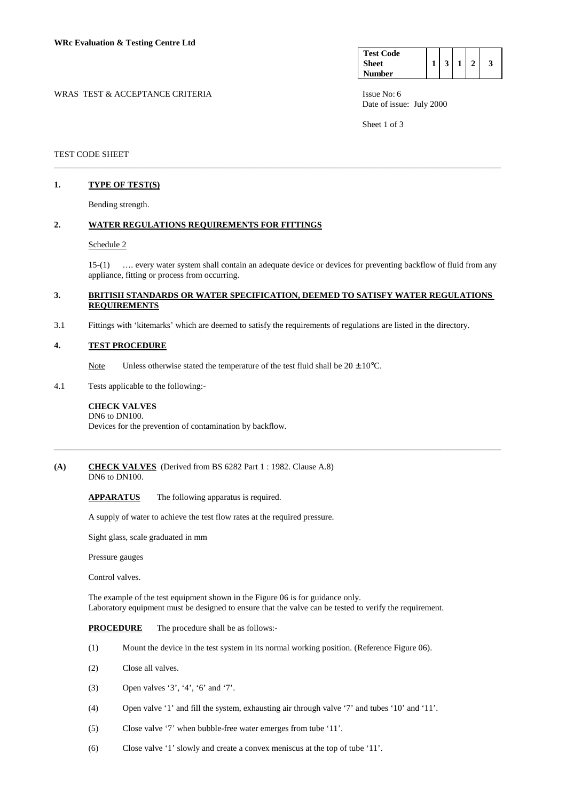| WRAS TEST & ACCEPTANCE CRITERIA | Issue No: $6$ |
|---------------------------------|---------------|
|---------------------------------|---------------|

| <b>Test Code</b> |  |  |  |
|------------------|--|--|--|
| <b>Sheet</b>     |  |  |  |
| <b>Number</b>    |  |  |  |

Date of issue: July 2000

Sheet 1 of 3

### TEST CODE SHEET

## **1. TYPE OF TEST(S)**

Bending strength.

# **2. WATER REGULATIONS REQUIREMENTS FOR FITTINGS**

### Schedule 2

 15-(1) …. every water system shall contain an adequate device or devices for preventing backflow of fluid from any appliance, fitting or process from occurring.

## **3. BRITISH STANDARDS OR WATER SPECIFICATION, DEEMED TO SATISFY WATER REGULATIONS REQUIREMENTS**

\_\_\_\_\_\_\_\_\_\_\_\_\_\_\_\_\_\_\_\_\_\_\_\_\_\_\_\_\_\_\_\_\_\_\_\_\_\_\_\_\_\_\_\_\_\_\_\_\_\_\_\_\_\_\_\_\_\_\_\_\_\_\_\_\_\_\_\_\_\_\_\_\_\_\_\_\_\_\_\_\_\_\_\_\_\_\_\_\_\_\_\_\_\_\_\_\_\_\_\_\_\_\_

\_\_\_\_\_\_\_\_\_\_\_\_\_\_\_\_\_\_\_\_\_\_\_\_\_\_\_\_\_\_\_\_\_\_\_\_\_\_\_\_\_\_\_\_\_\_\_\_\_\_\_\_\_\_\_\_\_\_\_\_\_\_\_\_\_\_\_\_\_\_\_\_\_\_\_\_\_\_\_\_\_\_\_\_\_\_\_\_\_\_\_\_\_\_\_\_\_\_\_\_\_\_\_

3.1 Fittings with 'kitemarks' which are deemed to satisfy the requirements of regulations are listed in the directory.

### **4. TEST PROCEDURE**

Note Unless otherwise stated the temperature of the test fluid shall be  $20 \pm 10^{\circ}$ C.

4.1 Tests applicable to the following:-

### **CHECK VALVES**

 DN6 to DN100. Devices for the prevention of contamination by backflow.

# **(A) CHECK VALVES** (Derived from BS 6282 Part 1 : 1982. Clause A.8)

DN6 to DN100.

**APPARATUS** The following apparatus is required.

A supply of water to achieve the test flow rates at the required pressure.

Sight glass, scale graduated in mm

Pressure gauges

Control valves.

The example of the test equipment shown in the Figure 06 is for guidance only. Laboratory equipment must be designed to ensure that the valve can be tested to verify the requirement.

### **PROCEDURE** The procedure shall be as follows:-

- (1) Mount the device in the test system in its normal working position. (Reference Figure 06).
- (2) Close all valves.
- (3) Open valves '3', '4', '6' and '7'.
- (4) Open valve '1' and fill the system, exhausting air through valve '7' and tubes '10' and '11'.
- (5) Close valve '7' when bubble-free water emerges from tube '11'.
- (6) Close valve '1' slowly and create a convex meniscus at the top of tube '11'.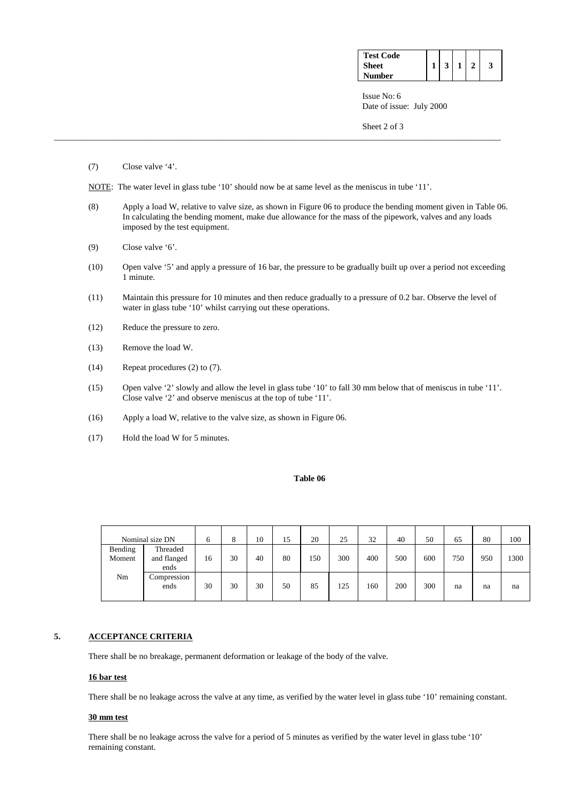| <b>Test Code</b> |  |  |  |
|------------------|--|--|--|
| <b>Sheet</b>     |  |  |  |
| <b>Number</b>    |  |  |  |

 Issue No: 6 Date of issue: July 2000

Sheet 2 of 3

(7) Close valve '4'.

NOTE: The water level in glass tube '10' should now be at same level as the meniscus in tube '11'.

\_\_\_\_\_\_\_\_\_\_\_\_\_\_\_\_\_\_\_\_\_\_\_\_\_\_\_\_\_\_\_\_\_\_\_\_\_\_\_\_\_\_\_\_\_\_\_\_\_\_\_\_\_\_\_\_\_\_\_\_\_\_\_\_\_\_\_\_\_\_\_\_\_\_\_\_\_\_\_\_\_\_\_\_\_\_\_\_\_\_\_\_\_\_\_\_\_\_\_\_\_\_\_

- (8) Apply a load W, relative to valve size, as shown in Figure 06 to produce the bending moment given in Table 06. In calculating the bending moment, make due allowance for the mass of the pipework, valves and any loads imposed by the test equipment.
- (9) Close valve '6'.
- (10) Open valve '5' and apply a pressure of 16 bar, the pressure to be gradually built up over a period not exceeding 1 minute.
- (11) Maintain this pressure for 10 minutes and then reduce gradually to a pressure of 0.2 bar. Observe the level of water in glass tube '10' whilst carrying out these operations.
- (12) Reduce the pressure to zero.
- (13) Remove the load W.
- (14) Repeat procedures (2) to (7).
- (15) Open valve '2' slowly and allow the level in glass tube '10' to fall 30 mm below that of meniscus in tube '11'. Close valve '2' and observe meniscus at the top of tube '11'.
- (16) Apply a load W, relative to the valve size, as shown in Figure 06.
- (17) Hold the load W for 5 minutes.

### **Table 06**

|                   | Nominal size DN                 |    | ð  | 10 | 15 | 20  | 25  | 32  | 40  | 50  | 65  | 80  | 100  |
|-------------------|---------------------------------|----|----|----|----|-----|-----|-----|-----|-----|-----|-----|------|
| Bending<br>Moment | Threaded<br>and flanged<br>ends | 16 | 30 | 40 | 80 | 150 | 300 | 400 | 500 | 600 | 750 | 950 | 1300 |
| Nm                | Compression<br>ends             | 30 | 30 | 30 | 50 | 85  | 125 | 160 | 200 | 300 | na  | na  | na   |

## **5. ACCEPTANCE CRITERIA**

There shall be no breakage, permanent deformation or leakage of the body of the valve.

#### **16 bar test**

There shall be no leakage across the valve at any time, as verified by the water level in glass tube '10' remaining constant.

## **30 mm test**

 There shall be no leakage across the valve for a period of 5 minutes as verified by the water level in glass tube '10' remaining constant.